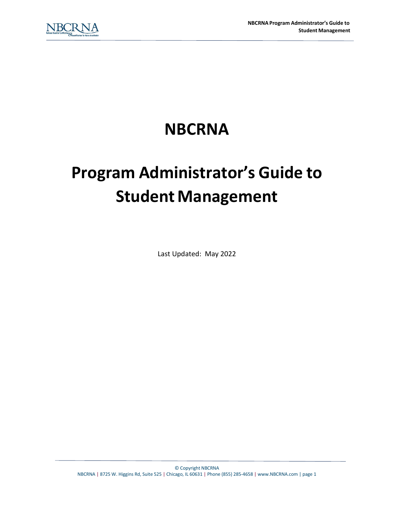## **NBCRNA**

# **Program Administrator's Guide to Student Management**

Last Updated: May 2022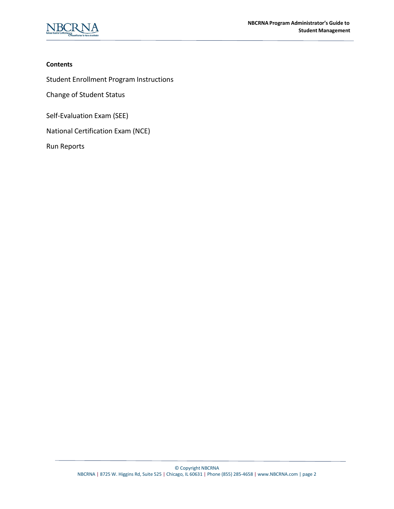

#### **Contents**

Student Enrollment Program [Instructions](#page-2-0)

Change of [Student Status](#page-4-0)

Self-Evaluation Exam (SEE)

National [Certification](#page-10-0) Exam (NCE)

Run Reports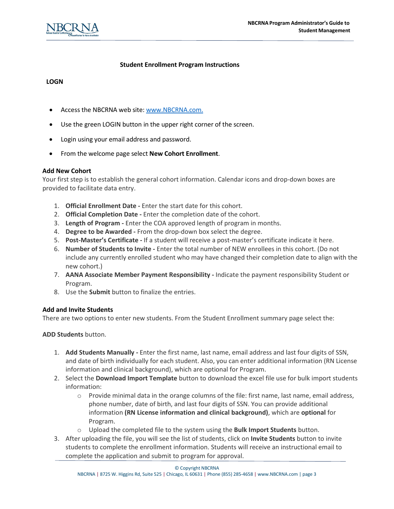

#### **Student Enrollment Program Instructions**

#### <span id="page-2-0"></span>**LOGN**

- Access the NBCRNA web site: [www.NBCRNA.com.](http://www.nbcrna.com/)
- Use the green LOGIN button in the upper right corner of the screen.
- Login using your email address and password.
- From the welcome page select **New Cohort Enrollment**.

#### **Add New Cohort**

Your first step is to establish the general cohort information. Calendar icons and drop-down boxes are provided to facilitate data entry.

- 1. **Official Enrollment Date** Enter the start date for this cohort.
- 2. **Official Completion Date** Enter the completion date of the cohort.
- 3. **Length of Program** Enter the COA approved length of program in months.
- 4. **Degree to be Awarded** From the drop-down box select the degree.
- 5. **Post-Master's Certificate** If a student will receive a post-master's certificate indicate it here.
- 6. **Number of Students to Invite** Enter the total number of NEW enrollees in this cohort. (Do not include any currently enrolled student who may have changed their completion date to align with the new cohort.)
- 7. **AANA Associate Member Payment Responsibility** Indicate the payment responsibility Student or Program.
- 8. Use the **Submit** button to finalize the entries.

#### **Add and Invite Students**

There are two options to enter new students. From the Student Enrollment summary page select the:

**ADD Students** button.

- 1. **Add Students Manually** Enter the first name, last name, email address and last four digits of SSN, and date of birth individually for each student. Also, you can enter additional information (RN License information and clinical background), which are optional for Program.
- 2. Select the **Download Import Template** button to download the excel file use for bulk import students information:
	- $\circ$  Provide minimal data in the orange columns of the file: first name, last name, email address, phone number, date of birth, and last four digits of SSN. You can provide additional information **(RN License information and clinical background)**, which are **optional** for Program.
	- o Upload the completed file to the system using the **Bulk Import Students** button.
- 3. After uploading the file, you will see the list of students, click on **Invite Students** button to invite students to complete the enrollment information. Students will receive an instructional email to complete the application and submit to program for approval.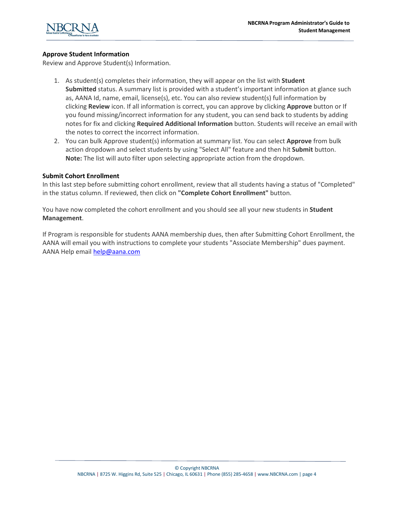

#### **Approve Student Information**

Review and Approve Student(s) Information.

- 1. As student(s) completes their information, they will appear on the list with **Student Submitted** status. A summary list is provided with a student's important information at glance such as, AANA Id, name, email, license(s), etc. You can also review student(s) full information by clicking **Review** icon. If all information is correct, you can approve by clicking **Approve** button or If you found missing/incorrect information for any student, you can send back to students by adding notes for fix and clicking **Required Additional Information** button. Students will receive an email with the notes to correct the incorrect information.
- 2. You can bulk Approve student(s) information at summary list. You can select **Approve** from bulk action dropdown and select students by using "Select All" feature and then hit **Submit** button. **Note:** The list will auto filter upon selecting appropriate action from the dropdown.

#### **Submit Cohort Enrollment**

In this last step before submitting cohort enrollment, review that all students having a status of "Completed" in the status column. If reviewed, then click on **"Complete Cohort Enrollment"** button.

You have now completed the cohort enrollment and you should see all your new students in **Student Management**.

If Program is responsible for students AANA membership dues, then after Submitting Cohort Enrollment, the AANA will email you with instructions to complete your students "Associate Membership" dues payment. AANA Help email [help@aana.com](mailto:help@aana.com)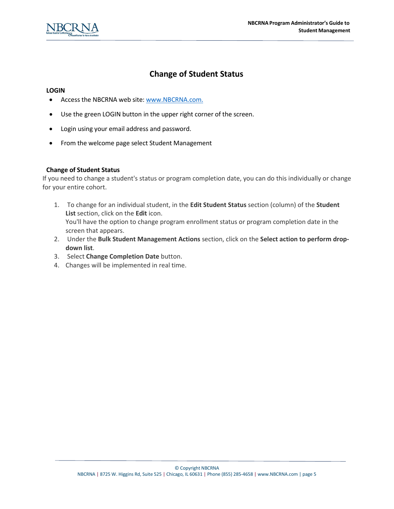

## **Change of Student Status**

#### <span id="page-4-0"></span>**LOGIN**

- Access the NBCRNA web site: [www.NBCRNA.com.](http://www.nbcrna.com/)
- Use the green LOGIN button in the upper right corner of the screen.
- Login using your email address and password.
- From the welcome page select Student Management

#### **Change of Student Status**

If you need to change a student's status or program completion date, you can do this individually or change for your entire cohort.

- 1. To change for an individual student, in the **Edit Student Status** section (column) of the **Student List** section, click on the **Edit** icon. You'll have the option to change program enrollment status or program completion date in the screen that appears.
- 2. Under the **Bulk Student Management Actions** section, click on the **Select action to perform dropdown list**.
- 3. Select **Change Completion Date** button.
- 4. Changes will be implemented in real time.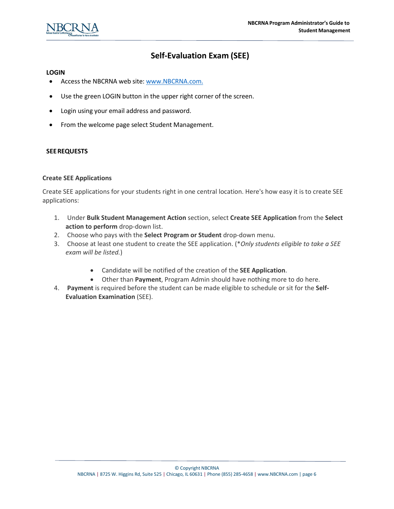## **Self-Evaluation Exam (SEE)**

#### **LOGIN**

- Access the NBCRNA web site: [www.NBCRNA.com.](http://www.nbcrna.com/)
- Use the green LOGIN button in the upper right corner of the screen.
- Login using your email address and password.
- From the welcome page select Student Management.

#### **SEEREQUESTS**

#### **Create SEE Applications**

Create SEE applications for your students right in one central location. Here's how easy it is to create SEE applications:

- 1. Under **Bulk Student Management Action** section, select **Create SEE Application** from the **Select action to perform** drop-down list.
- 2. Choose who pays with the **Select Program or Student** drop-down menu.
- 3. Choose at least one student to create the SEE application. (\**Only students eligible to take a SEE exam will be listed.*)
	- Candidate will be notified of the creation of the **SEE Application**.
	- Other than **Payment**, Program Admin should have nothing more to do here.
- 4. **Payment** is required before the student can be made eligible to schedule or sit for the **Self-Evaluation Examination** (SEE).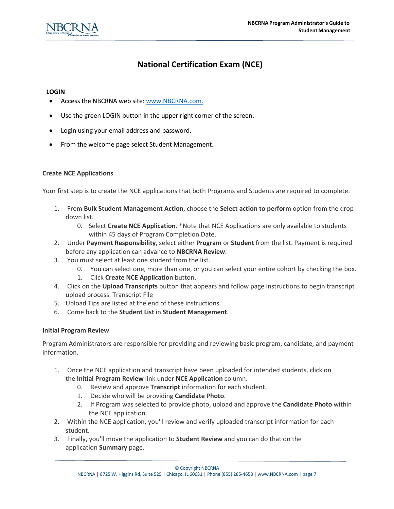

## **National Certification Exam (NCE)**

#### **LOGIN**

- Access the NBCRNA web site: [www.NBCRNA.com.](http://www.nbcrna.com/)
- Use the green LOGIN button in the upper right corner of the screen.
- Login using your email address and password.
- From the welcome page select Student Management.

#### **Create NCE Applications**

Your first step is to create the NCE applications that both Programs and Students are required to complete.

- 1. From **Bulk Student Management Action**, choose the **Select action to perform** option from the dropdown list.
	- 0. Select **Create NCE Application**. \*Note that NCE Applications are only available to students within 45 days of Program Completion Date.
- 2. Under **Payment Responsibility**, select either **Program** or **Student** from the list. Payment is required before any application can advance to **NBCRNA Review**.
- 3. You must select at least one student from the list.
	- 0. You can select one, more than one, or you can select your entire cohort by checking the box.
	- 1. Click **Create NCE Application** button.
- 4. Click on the **Upload Transcripts** button that appears and follow page instructions to begin transcript upload process. Transcript File
- 5. Upload Tips are listed at the end of these instructions.
- 6. Come back to the **Student List** in **Student Management**.

#### **Initial Program Review**

Program Administrators are responsible for providing and reviewing basic program, candidate, and payment information.

- 1. Once the NCE application and transcript have been uploaded for intended students, click on the **Initial Program Review** link under **NCE Application** column.
	- 0. Review and approve **Transcript** information for each student.
	- 1. Decide who will be providing **Candidate Photo**.
	- 2. If Program was selected to provide photo, upload and approve the **Candidate Photo** within the NCE application.
- 2. Within the NCE application, you'll review and verify uploaded transcript information for each student.
- 3. Finally, you'll move the application to **Student Review** and you can do that on the application **Summary** page.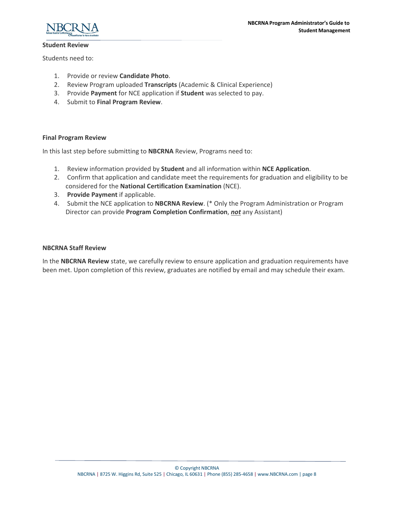



#### **Student Review**

Students need to:

- 1. Provide or review **Candidate Photo**.
- 2. Review Program uploaded **Transcripts** (Academic & Clinical Experience)
- 3. Provide **Payment** for NCE application if **Student** was selected to pay.
- 4. Submit to **Final Program Review**.

#### **Final Program Review**

In this last step before submitting to **NBCRNA** Review, Programs need to:

- 1. Review information provided by **Student** and all information within **NCE Application**.
- 2. Confirm that application and candidate meet the requirements for graduation and eligibility to be considered for the **National Certification Examination** (NCE).
- 3. **Provide Payment** if applicable.
- 4. Submit the NCE application to **NBCRNA Review**. (\* Only the Program Administration or Program Director can provide **Program Completion Confirmation**, *not* any Assistant)

#### **NBCRNA Staff Review**

In the **NBCRNA Review** state, we carefully review to ensure application and graduation requirements have been met. Upon completion of this review, graduates are notified by email and may schedule their exam.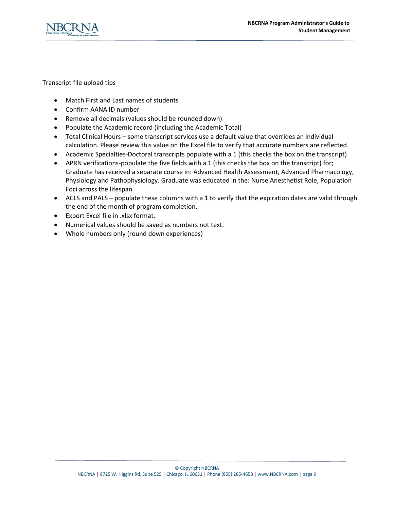

Transcript file upload tips

- Match First and Last names of students
- Confirm AANA ID number
- Remove all decimals (values should be rounded down)
- Populate the Academic record (including the Academic Total)
- Total Clinical Hours some transcript services use a default value that overrides an individual calculation. Please review this value on the Excel file to verify that accurate numbers are reflected.
- Academic Specialties-Doctoral transcripts populate with a 1 (this checks the box on the transcript)
- APRN verifications-populate the five fields with a 1 (this checks the box on the transcript) for; Graduate has received a separate course in: Advanced Health Assessment, Advanced Pharmacology, Physiology and Pathophysiology. Graduate was educated in the: Nurse Anesthetist Role, Population Foci across the lifespan.
- ACLS and PALS populate these columns with a 1 to verify that the expiration dates are valid through the end of the month of program completion.
- Export Excel file in .xlsx format.
- Numerical values should be saved as numbers not text.
- Whole numbers only (round down experiences)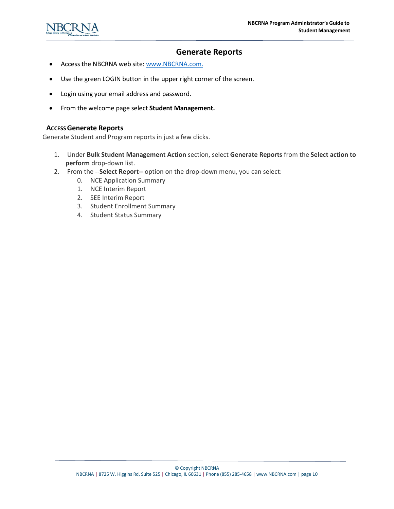

### **Generate Reports**

- Access the NBCRNA web site: [www.NBCRNA.com.](http://www.nbcrna.com/)
- Use the green LOGIN button in the upper right corner of the screen.
- Login using your email address and password.
- From the welcome page select **Student Management.**

#### **ACCESSGenerate Reports**

Generate Student and Program reports in just a few clicks.

- 1. Under **Bulk Student Management Action** section, select **Generate Reports** from the **Select action to perform** drop-down list.
- 2. From the --**Select Report--** option on the drop-down menu, you can select:
	- 0. NCE Application Summary
	- 1. NCE Interim Report
	- 2. SEE Interim Report
	- 3. Student Enrollment Summary
	- 4. Student Status Summary